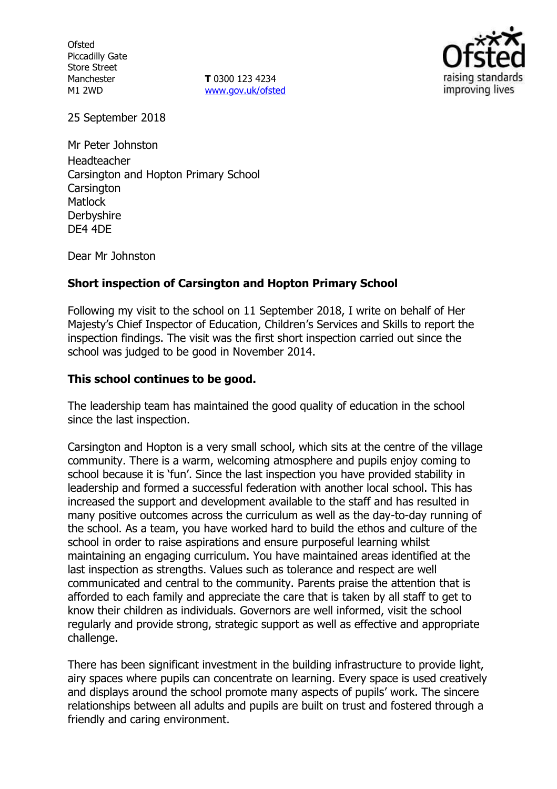**Ofsted** Piccadilly Gate Store Street Manchester M1 2WD

**T** 0300 123 4234 www.gov.uk/ofsted



25 September 2018

Mr Peter Johnston Headteacher Carsington and Hopton Primary School **Carsington Matlock Derbyshire** DE4 4DE

Dear Mr Johnston

## **Short inspection of Carsington and Hopton Primary School**

Following my visit to the school on 11 September 2018, I write on behalf of Her Majesty's Chief Inspector of Education, Children's Services and Skills to report the inspection findings. The visit was the first short inspection carried out since the school was judged to be good in November 2014.

## **This school continues to be good.**

The leadership team has maintained the good quality of education in the school since the last inspection.

Carsington and Hopton is a very small school, which sits at the centre of the village community. There is a warm, welcoming atmosphere and pupils enjoy coming to school because it is 'fun'. Since the last inspection you have provided stability in leadership and formed a successful federation with another local school. This has increased the support and development available to the staff and has resulted in many positive outcomes across the curriculum as well as the day-to-day running of the school. As a team, you have worked hard to build the ethos and culture of the school in order to raise aspirations and ensure purposeful learning whilst maintaining an engaging curriculum. You have maintained areas identified at the last inspection as strengths. Values such as tolerance and respect are well communicated and central to the community. Parents praise the attention that is afforded to each family and appreciate the care that is taken by all staff to get to know their children as individuals. Governors are well informed, visit the school regularly and provide strong, strategic support as well as effective and appropriate challenge.

There has been significant investment in the building infrastructure to provide light, airy spaces where pupils can concentrate on learning. Every space is used creatively and displays around the school promote many aspects of pupils' work. The sincere relationships between all adults and pupils are built on trust and fostered through a friendly and caring environment.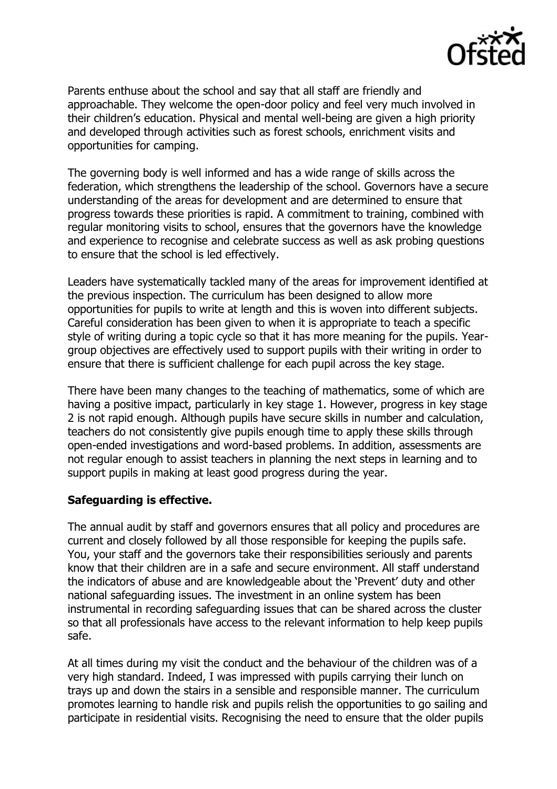

Parents enthuse about the school and say that all staff are friendly and approachable. They welcome the open-door policy and feel very much involved in their children's education. Physical and mental well-being are given a high priority and developed through activities such as forest schools, enrichment visits and opportunities for camping.

The governing body is well informed and has a wide range of skills across the federation, which strengthens the leadership of the school. Governors have a secure understanding of the areas for development and are determined to ensure that progress towards these priorities is rapid. A commitment to training, combined with regular monitoring visits to school, ensures that the governors have the knowledge and experience to recognise and celebrate success as well as ask probing questions to ensure that the school is led effectively.

Leaders have systematically tackled many of the areas for improvement identified at the previous inspection. The curriculum has been designed to allow more opportunities for pupils to write at length and this is woven into different subjects. Careful consideration has been given to when it is appropriate to teach a specific style of writing during a topic cycle so that it has more meaning for the pupils. Yeargroup objectives are effectively used to support pupils with their writing in order to ensure that there is sufficient challenge for each pupil across the key stage.

There have been many changes to the teaching of mathematics, some of which are having a positive impact, particularly in key stage 1. However, progress in key stage 2 is not rapid enough. Although pupils have secure skills in number and calculation, teachers do not consistently give pupils enough time to apply these skills through open-ended investigations and word-based problems. In addition, assessments are not regular enough to assist teachers in planning the next steps in learning and to support pupils in making at least good progress during the year.

# **Safeguarding is effective.**

The annual audit by staff and governors ensures that all policy and procedures are current and closely followed by all those responsible for keeping the pupils safe. You, your staff and the governors take their responsibilities seriously and parents know that their children are in a safe and secure environment. All staff understand the indicators of abuse and are knowledgeable about the 'Prevent' duty and other national safeguarding issues. The investment in an online system has been instrumental in recording safeguarding issues that can be shared across the cluster so that all professionals have access to the relevant information to help keep pupils safe.

At all times during my visit the conduct and the behaviour of the children was of a very high standard. Indeed, I was impressed with pupils carrying their lunch on trays up and down the stairs in a sensible and responsible manner. The curriculum promotes learning to handle risk and pupils relish the opportunities to go sailing and participate in residential visits. Recognising the need to ensure that the older pupils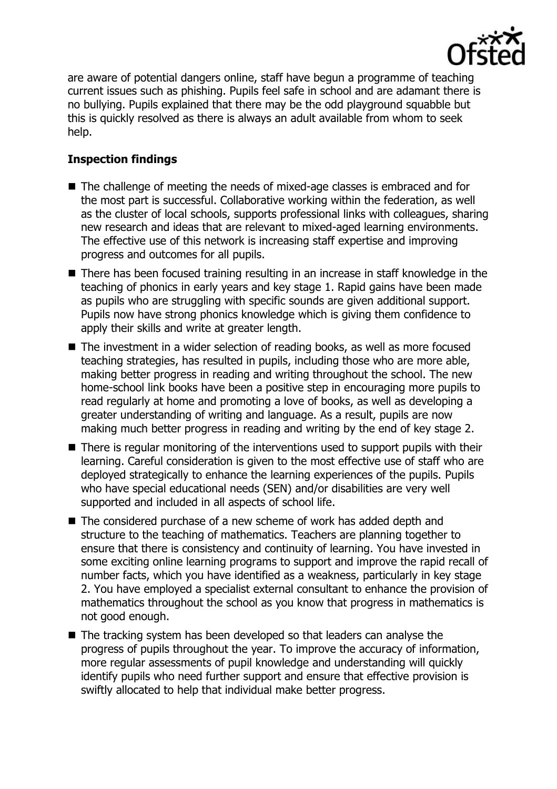

are aware of potential dangers online, staff have begun a programme of teaching current issues such as phishing. Pupils feel safe in school and are adamant there is no bullying. Pupils explained that there may be the odd playground squabble but this is quickly resolved as there is always an adult available from whom to seek help.

# **Inspection findings**

- The challenge of meeting the needs of mixed-age classes is embraced and for the most part is successful. Collaborative working within the federation, as well as the cluster of local schools, supports professional links with colleagues, sharing new research and ideas that are relevant to mixed-aged learning environments. The effective use of this network is increasing staff expertise and improving progress and outcomes for all pupils.
- There has been focused training resulting in an increase in staff knowledge in the teaching of phonics in early years and key stage 1. Rapid gains have been made as pupils who are struggling with specific sounds are given additional support. Pupils now have strong phonics knowledge which is giving them confidence to apply their skills and write at greater length.
- The investment in a wider selection of reading books, as well as more focused teaching strategies, has resulted in pupils, including those who are more able, making better progress in reading and writing throughout the school. The new home-school link books have been a positive step in encouraging more pupils to read regularly at home and promoting a love of books, as well as developing a greater understanding of writing and language. As a result, pupils are now making much better progress in reading and writing by the end of key stage 2.
- There is regular monitoring of the interventions used to support pupils with their learning. Careful consideration is given to the most effective use of staff who are deployed strategically to enhance the learning experiences of the pupils. Pupils who have special educational needs (SEN) and/or disabilities are very well supported and included in all aspects of school life.
- The considered purchase of a new scheme of work has added depth and structure to the teaching of mathematics. Teachers are planning together to ensure that there is consistency and continuity of learning. You have invested in some exciting online learning programs to support and improve the rapid recall of number facts, which you have identified as a weakness, particularly in key stage 2. You have employed a specialist external consultant to enhance the provision of mathematics throughout the school as you know that progress in mathematics is not good enough.
- The tracking system has been developed so that leaders can analyse the progress of pupils throughout the year. To improve the accuracy of information, more regular assessments of pupil knowledge and understanding will quickly identify pupils who need further support and ensure that effective provision is swiftly allocated to help that individual make better progress.